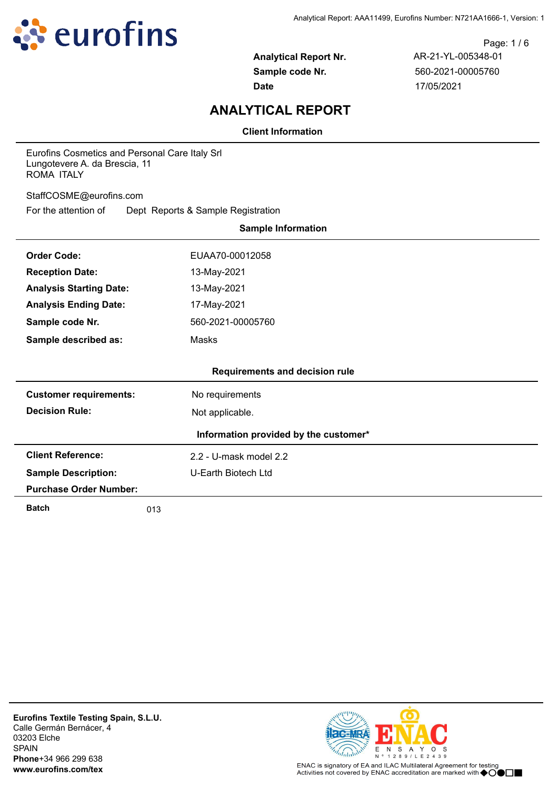

Page: 1 / 6 **Analytical Report Nr.** AR-21-YL-005348-01 **Sample code Nr.** 560-2021-00005760 **Date** 17/05/2021

# **ANALYTICAL REPORT**

**Client Information**

Eurofins Cosmetics and Personal Care Italy Srl Lungotevere A. da Brescia, 11 ROMA ITALY

StaffCOSME@eurofins.com

For the attention of Dept Reports & Sample Registration

|                                | <b>Sample Information</b>             |
|--------------------------------|---------------------------------------|
| <b>Order Code:</b>             | EUAA70-00012058                       |
| <b>Reception Date:</b>         | 13-May-2021                           |
| <b>Analysis Starting Date:</b> | 13-May-2021                           |
| <b>Analysis Ending Date:</b>   | 17-May-2021                           |
| Sample code Nr.                | 560-2021-00005760                     |
| Sample described as:           | Masks                                 |
|                                |                                       |
|                                | <b>Requirements and decision rule</b> |
| <b>Customer requirements:</b>  | No requirements                       |
| <b>Decision Rule:</b>          | Not applicable.                       |
|                                | Information provided by the customer* |
| <b>Client Reference:</b>       | 2.2 - U-mask model 2.2                |
| <b>Sample Description:</b>     | U-Earth Biotech Ltd                   |
| <b>Purchase Order Number:</b>  |                                       |
| <b>Batch</b>                   | 013                                   |

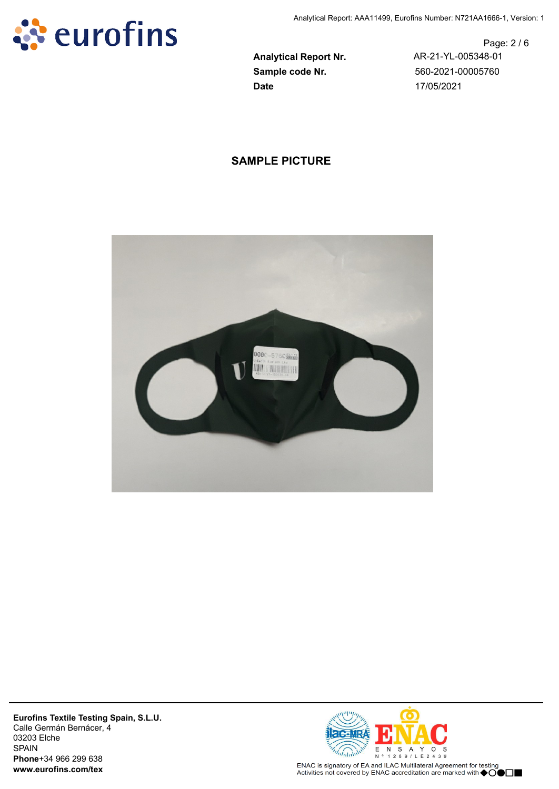

Page: 2 / 6 **Analytical Report Nr.** AR-21-YL-005348-01

# **SAMPLE PICTURE**



**Eurofins Textile Testing Spain, S.L.U.** Calle Germán Bernácer, 4 03203 Elche SPAIN **Phone**+34 966 299 638 **www.eurofins.com/tex**



ENAC is signatory of EA and ILAC Multilateral Agreement for testing Activities not covered by ENAC accreditation are marked with  $\spadesuit$ OO $\Box$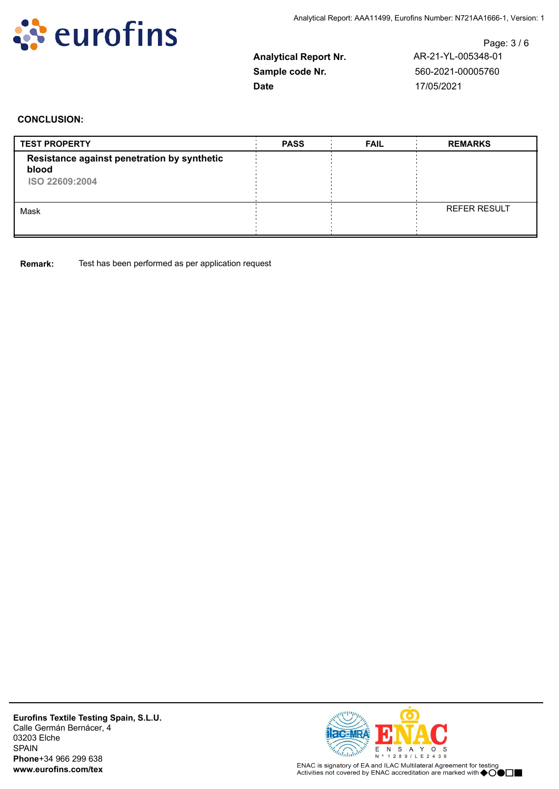

Page: 3 / 6 **Analytical Report Nr.** AR-21-YL-005348-01

#### **CONCLUSION:**

| <b>TEST PROPERTY</b>                                                   | <b>PASS</b> | <b>FAIL</b> | <b>REMARKS</b>      |
|------------------------------------------------------------------------|-------------|-------------|---------------------|
| Resistance against penetration by synthetic<br>blood<br>ISO 22609:2004 |             |             |                     |
| Mask                                                                   |             |             | <b>REFER RESULT</b> |

**Remark:** Test has been performed as per application request

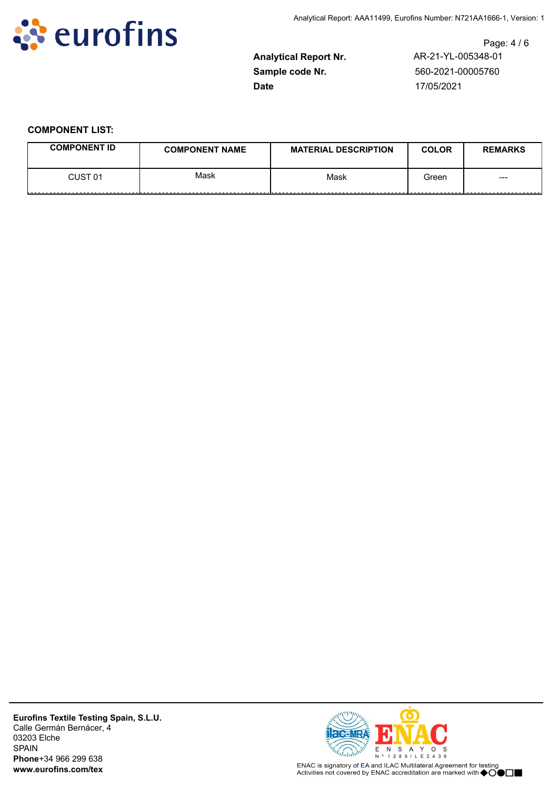

Page: 4 / 6 **Analytical Report Nr.** AR-21-YL-005348-01

## **COMPONENT LIST:**

| <b>COMPONENT ID</b> | <b>COMPONENT NAME</b> | <b>MATERIAL DESCRIPTION</b> | <b>COLOR</b> | <b>REMARKS</b> |
|---------------------|-----------------------|-----------------------------|--------------|----------------|
| CUST 01<br>.        | Mask                  | Mask<br>--------------      | Green        | ---            |

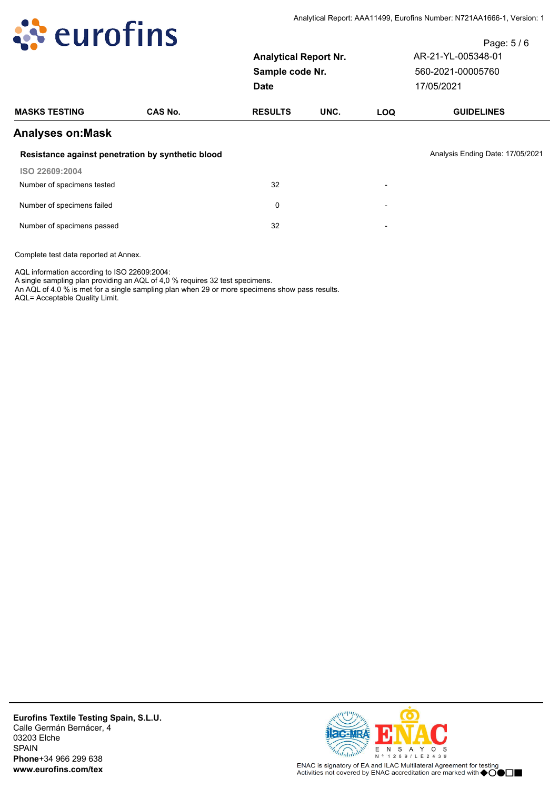

|                              | Page: $5/6$        |
|------------------------------|--------------------|
| <b>Analytical Report Nr.</b> | AR-21-YL-005348-01 |
| Sample code Nr.              | 560-2021-00005760  |
| Date                         | 17/05/2021         |
|                              |                    |

| <b>MASKS TESTING</b>                              | <b>CAS No.</b> | <b>RESULTS</b> | UNC. | <b>LOQ</b>               | <b>GUIDELINES</b>                |
|---------------------------------------------------|----------------|----------------|------|--------------------------|----------------------------------|
| <b>Analyses on: Mask</b>                          |                |                |      |                          |                                  |
| Resistance against penetration by synthetic blood |                |                |      |                          | Analysis Ending Date: 17/05/2021 |
| ISO 22609:2004                                    |                |                |      |                          |                                  |
| Number of specimens tested                        |                | 32             |      | $\overline{\phantom{a}}$ |                                  |
| Number of specimens failed                        |                | 0              |      | $\overline{\phantom{0}}$ |                                  |
| Number of specimens passed                        |                | 32             |      | $\overline{\phantom{a}}$ |                                  |

AQL information according to ISO 22609:2004:

A single sampling plan providing an AQL of 4,0 % requires 32 test specimens.

An AQL of 4.0 % is met for a single sampling plan when 29 or more specimens show pass results.

AQL= Acceptable Quality Limit.

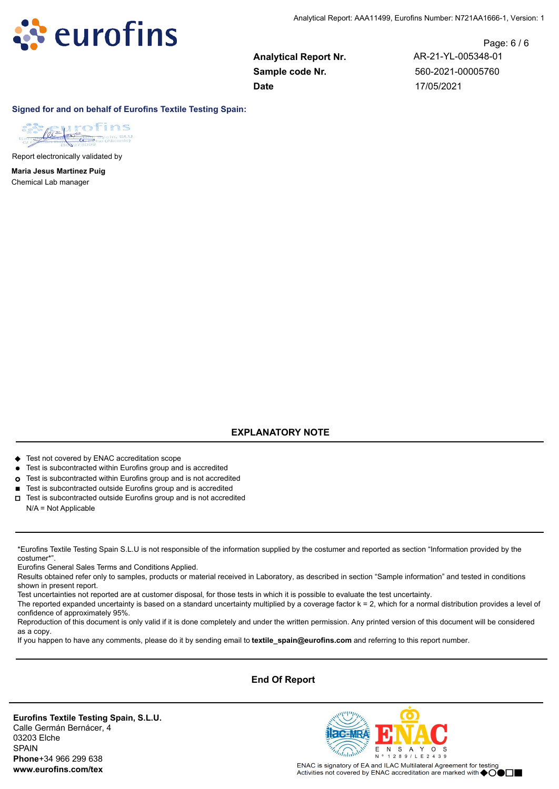

Page: 6 / 6 **Analytical Report Nr.** AR-21-YL-005348-01

#### **Signed for and on behalf of Eurofins Textile Testing Spain:**



Report electronically validated by

Chemical Lab manager **Maria Jesus Martinez Puig**

# **EXPLANATORY NOTE**

- ◆ Test not covered by ENAC accreditation scope
- Test is subcontracted within Eurofins group and is accredited
- **¢** Test is subcontracted within Eurofins group and is not accredited
- Test is subcontracted outside Eurofins group and is accredited
- **o** Test is subcontracted outside Eurofins group and is not accredited N/A = Not Applicable

\*Eurofins Textile Testing Spain S.L.U is not responsible of the information supplied by the costumer and reported as section "Information provided by the costumer\*".

Eurofins General Sales Terms and Conditions Applied.

Results obtained refer only to samples, products or material received in Laboratory, as described in section "Sample information" and tested in conditions shown in present report.

Test uncertainties not reported are at customer disposal, for those tests in which it is possible to evaluate the test uncertainty.

The reported expanded uncertainty is based on a standard uncertainty multiplied by a coverage factor k = 2, which for a normal distribution provides a level of confidence of approximately 95%.

Reproduction of this document is only valid if it is done completely and under the written permission. Any printed version of this document will be considered as a copy.

If you happen to have any comments, please do it by sending email to **textile\_spain@eurofins.com** and referring to this report number.

### **End Of Report**

**Eurofins Textile Testing Spain, S.L.U.** Calle Germán Bernácer, 4 03203 Elche SPAIN **Phone**+34 966 299 638 **www.eurofins.com/tex**



ENAC is signatory of EA and ILAC Multilateral Agreement for testing Activities not covered by ENAC accreditation are marked with ◆OOD